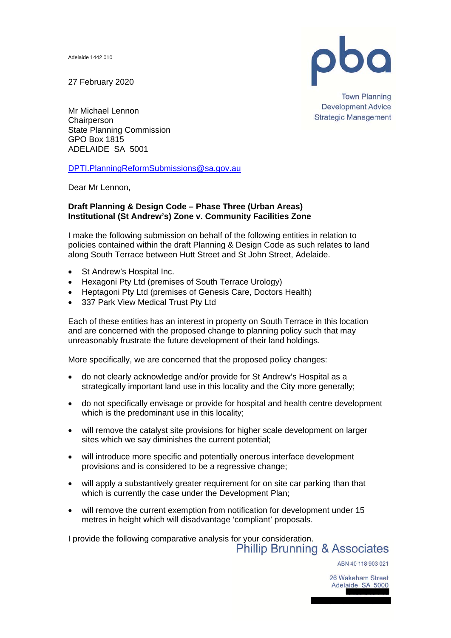Adelaide 1442 010

27 February 2020



**Town Planning Development Advice Strategic Management** 

Mr Michael Lennon **Chairperson** State Planning Commission GPO Box 1815 ADELAIDE SA 5001

DPTI.PlanningReformSubmissions@sa.gov.au

Dear Mr Lennon,

## **Draft Planning & Design Code – Phase Three (Urban Areas) Institutional (St Andrew's) Zone v. Community Facilities Zone**

I make the following submission on behalf of the following entities in relation to policies contained within the draft Planning & Design Code as such relates to land along South Terrace between Hutt Street and St John Street, Adelaide.

- St Andrew's Hospital Inc.
- Hexagoni Pty Ltd (premises of South Terrace Urology)
- Heptagoni Pty Ltd (premises of Genesis Care, Doctors Health)
- 337 Park View Medical Trust Pty Ltd

Each of these entities has an interest in property on South Terrace in this location and are concerned with the proposed change to planning policy such that may unreasonably frustrate the future development of their land holdings.

More specifically, we are concerned that the proposed policy changes:

- do not clearly acknowledge and/or provide for St Andrew's Hospital as a strategically important land use in this locality and the City more generally;
- do not specifically envisage or provide for hospital and health centre development which is the predominant use in this locality:
- will remove the catalyst site provisions for higher scale development on larger sites which we say diminishes the current potential;
- will introduce more specific and potentially onerous interface development provisions and is considered to be a regressive change;
- will apply a substantively greater requirement for on site car parking than that which is currently the case under the Development Plan;
- will remove the current exemption from notification for development under 15 metres in height which will disadvantage 'compliant' proposals.

I provide the following comparative analysis for your consideration.<br>Phillip Brunning & Associates

ABN 40 118 903 021

26 Wakeham Street Adelaide SA 5000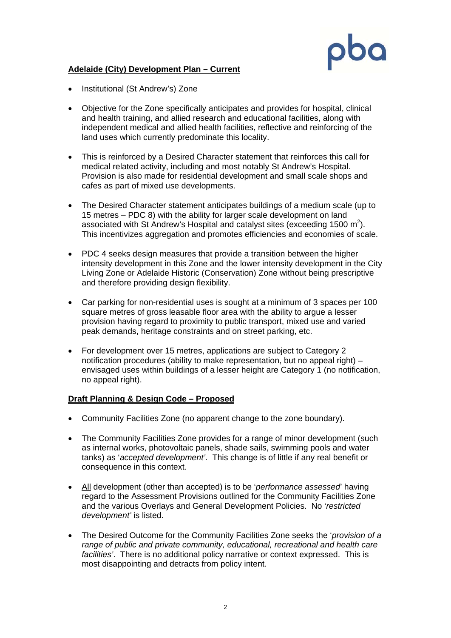

## **Adelaide (City) Development Plan – Current**

- Institutional (St Andrew's) Zone
- Objective for the Zone specifically anticipates and provides for hospital, clinical and health training, and allied research and educational facilities, along with independent medical and allied health facilities, reflective and reinforcing of the land uses which currently predominate this locality.
- This is reinforced by a Desired Character statement that reinforces this call for medical related activity, including and most notably St Andrew's Hospital. Provision is also made for residential development and small scale shops and cafes as part of mixed use developments.
- The Desired Character statement anticipates buildings of a medium scale (up to 15 metres – PDC 8) with the ability for larger scale development on land associated with St Andrew's Hospital and catalyst sites (exceeding 1500  $m^2$ ). This incentivizes aggregation and promotes efficiencies and economies of scale.
- PDC 4 seeks design measures that provide a transition between the higher intensity development in this Zone and the lower intensity development in the City Living Zone or Adelaide Historic (Conservation) Zone without being prescriptive and therefore providing design flexibility.
- Car parking for non-residential uses is sought at a minimum of 3 spaces per 100 square metres of gross leasable floor area with the ability to argue a lesser provision having regard to proximity to public transport, mixed use and varied peak demands, heritage constraints and on street parking, etc.
- For development over 15 metres, applications are subject to Category 2 notification procedures (ability to make representation, but no appeal right) – envisaged uses within buildings of a lesser height are Category 1 (no notification, no appeal right).

## **Draft Planning & Design Code – Proposed**

- Community Facilities Zone (no apparent change to the zone boundary).
- The Community Facilities Zone provides for a range of minor development (such as internal works, photovoltaic panels, shade sails, swimming pools and water tanks) as '*accepted development'*. This change is of little if any real benefit or consequence in this context.
- All development (other than accepted) is to be '*performance assessed*' having regard to the Assessment Provisions outlined for the Community Facilities Zone and the various Overlays and General Development Policies. No '*restricted development'* is listed.
- The Desired Outcome for the Community Facilities Zone seeks the '*provision of a range of public and private community, educational, recreational and health care facilities'*. There is no additional policy narrative or context expressed. This is most disappointing and detracts from policy intent.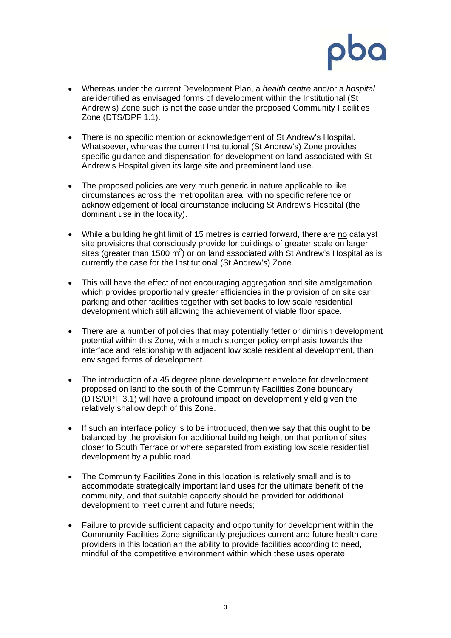

- Whereas under the current Development Plan, a *health centre* and/or a *hospital* are identified as envisaged forms of development within the Institutional (St Andrew's) Zone such is not the case under the proposed Community Facilities Zone (DTS/DPF 1.1).
- There is no specific mention or acknowledgement of St Andrew's Hospital. Whatsoever, whereas the current Institutional (St Andrew's) Zone provides specific guidance and dispensation for development on land associated with St Andrew's Hospital given its large site and preeminent land use.
- The proposed policies are very much generic in nature applicable to like circumstances across the metropolitan area, with no specific reference or acknowledgement of local circumstance including St Andrew's Hospital (the dominant use in the locality).
- While a building height limit of 15 metres is carried forward, there are no catalyst site provisions that consciously provide for buildings of greater scale on larger sites (greater than 1500  $m^2$ ) or on land associated with St Andrew's Hospital as is currently the case for the Institutional (St Andrew's) Zone.
- This will have the effect of not encouraging aggregation and site amalgamation which provides proportionally greater efficiencies in the provision of on site car parking and other facilities together with set backs to low scale residential development which still allowing the achievement of viable floor space.
- There are a number of policies that may potentially fetter or diminish development potential within this Zone, with a much stronger policy emphasis towards the interface and relationship with adjacent low scale residential development, than envisaged forms of development.
- The introduction of a 45 degree plane development envelope for development proposed on land to the south of the Community Facilities Zone boundary (DTS/DPF 3.1) will have a profound impact on development yield given the relatively shallow depth of this Zone.
- If such an interface policy is to be introduced, then we say that this ought to be balanced by the provision for additional building height on that portion of sites closer to South Terrace or where separated from existing low scale residential development by a public road.
- The Community Facilities Zone in this location is relatively small and is to accommodate strategically important land uses for the ultimate benefit of the community, and that suitable capacity should be provided for additional development to meet current and future needs;
- Failure to provide sufficient capacity and opportunity for development within the Community Facilities Zone significantly prejudices current and future health care providers in this location an the ability to provide facilities according to need, mindful of the competitive environment within which these uses operate.